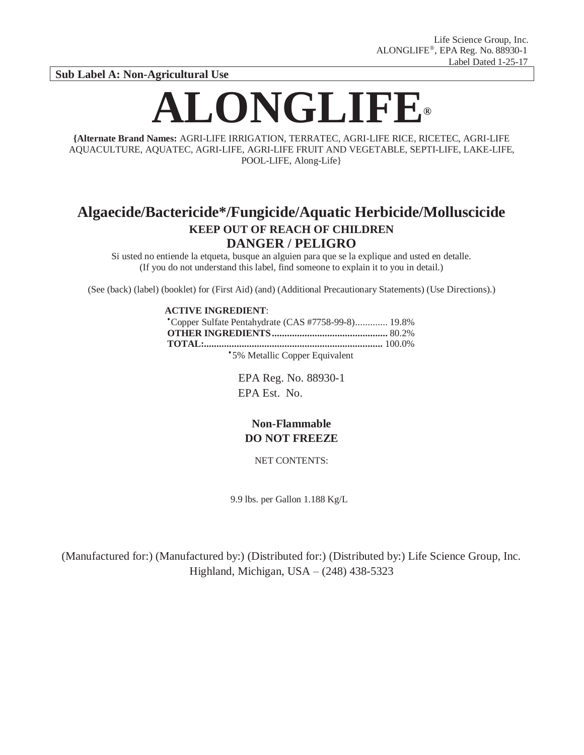**Sub Label A: Non-Agricultural Use**

# **ALONGLIFE®**

**{Alternate Brand Names:** AGRI-LIFE IRRIGATION, TERRATEC, AGRI-LIFE RICE, RICETEC, AGRI-LIFE AQUACULTURE, AQUATEC, AGRI-LIFE, AGRI-LIFE FRUIT AND VEGETABLE, SEPTI-LIFE, LAKE-LIFE, POOL-LIFE, Along-Life}

# **Algaecide/Bactericide\*/Fungicide/Aquatic Herbicide/Molluscicide KEEP OUT OF REACH OF CHILDREN DANGER / PELIGRO**

Si usted no entiende la etqueta, busque an alguien para que se la explique and usted en detalle. (If you do not understand this label, find someone to explain it to you in detail.)

(See (back) (label) (booklet) for (First Aid) (and) (Additional Precautionary Statements) (Use Directions).)

# **ACTIVE INGREDIENT**:

●Copper Sulfate Pentahydrate (CAS #7758-99-8)............. 19.8% **OTHER INGREDIENTS..............................................** 80.2% **TOTAL:.......................................................................** 100.0%

\*5% Metallic Copper Equivalent

EPA Reg. No. 88930-1 EPA Est. No.

# **Non-Flammable DO NOT FREEZE**

NET CONTENTS:

9.9 lbs. per Gallon 1.188 Kg/L

(Manufactured for:) (Manufactured by:) (Distributed for:) (Distributed by:) Life Science Group, Inc. Highland, Michigan, USA – (248) 438-5323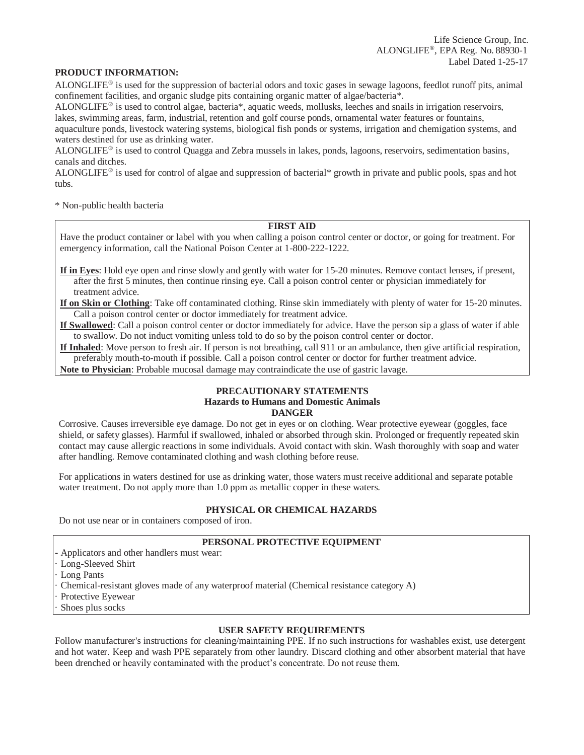#### **PRODUCT INFORMATION:**

ALONGLIFE® is used for the suppression of bacterial odors and toxic gases in sewage lagoons, feedlot runoff pits, animal confinement facilities, and organic sludge pits containing organic matter of algae/bacteria\*.

ALONGLIFE® is used to control algae, bacteria\*, aquatic weeds, mollusks, leeches and snails in irrigation reservoirs, lakes, swimming areas, farm, industrial, retention and golf course ponds, ornamental water features or fountains,

aquaculture ponds, livestock watering systems, biological fish ponds or systems, irrigation and chemigation systems, and waters destined for use as drinking water.

ALONGLIFE® is used to control Quagga and Zebra mussels in lakes, ponds, lagoons, reservoirs, sedimentation basins, canals and ditches.

ALONGLIFE® is used for control of algae and suppression of bacterial\* growth in private and public pools, spas and hot tubs.

\* Non-public health bacteria

# **FIRST AID**

Have the product container or label with you when calling a poison control center or doctor, or going for treatment. For emergency information, call the National Poison Center at 1-800-222-1222.

**If in Eyes**: Hold eye open and rinse slowly and gently with water for 15-20 minutes. Remove contact lenses, if present, after the first 5 minutes, then continue rinsing eye. Call a poison control center or physician immediately for treatment advice.

**If on Skin or Clothing**: Take off contaminated clothing. Rinse skin immediately with plenty of water for 15-20 minutes. Call a poison control center or doctor immediately for treatment advice.

**If Swallowed**: Call a poison control center or doctor immediately for advice. Have the person sip a glass of water if able to swallow. Do not induct vomiting unless told to do so by the poison control center or doctor.

**If Inhaled**: Move person to fresh air. If person is not breathing, call 911 or an ambulance, then give artificial respiration, preferably mouth-to-mouth if possible. Call a poison control center or doctor for further treatment advice.

**Note to Physician**: Probable mucosal damage may contraindicate the use of gastric lavage.

# **PRECAUTIONARY STATEMENTS Hazards to Humans and Domestic Animals DANGER**

Corrosive. Causes irreversible eye damage. Do not get in eyes or on clothing. Wear protective eyewear (goggles, face shield, or safety glasses). Harmful if swallowed, inhaled or absorbed through skin. Prolonged or frequently repeated skin contact may cause allergic reactions in some individuals. Avoid contact with skin. Wash thoroughly with soap and water after handling. Remove contaminated clothing and wash clothing before reuse.

For applications in waters destined for use as drinking water, those waters must receive additional and separate potable water treatment. Do not apply more than 1.0 ppm as metallic copper in these waters.

#### **PHYSICAL OR CHEMICAL HAZARDS**

Do not use near or in containers composed of iron.

#### **PERSONAL PROTECTIVE EQUIPMENT**

**-** Applicators and other handlers must wear:

- Long-Sleeved Shirt
- · Long Pants

· Chemical-resistant gloves made of any waterproof material (Chemical resistance category A)

- Protective Eyewear
- Shoes plus socks

# **USER SAFETY REQUIREMENTS**

Follow manufacturer's instructions for cleaning/maintaining PPE. If no such instructions for washables exist, use detergent and hot water. Keep and wash PPE separately from other laundry. Discard clothing and other absorbent material that have been drenched or heavily contaminated with the product's concentrate. Do not reuse them.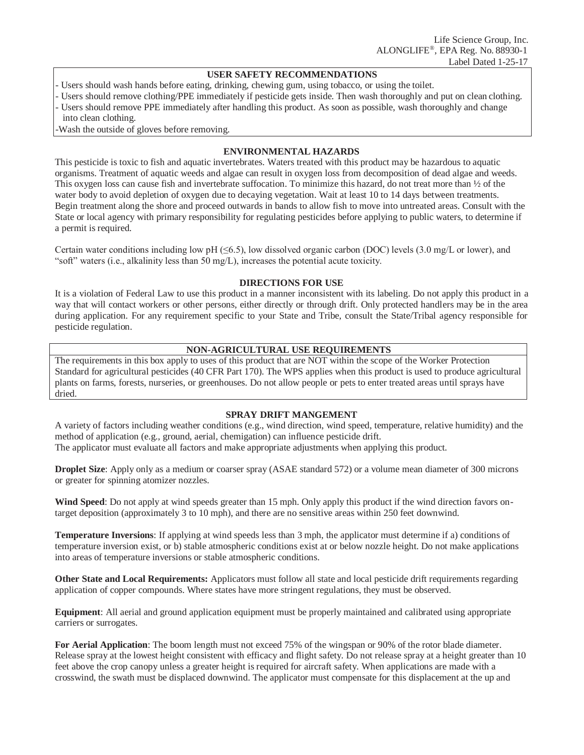#### **USER SAFETY RECOMMENDATIONS**

- Users should wash hands before eating, drinking, chewing gum, using tobacco, or using the toilet.
- Users should remove clothing/PPE immediately if pesticide gets inside. Then wash thoroughly and put on clean clothing.
- Users should remove PPE immediately after handling this product. As soon as possible, wash thoroughly and change into clean clothing.
- -Wash the outside of gloves before removing.

# **ENVIRONMENTAL HAZARDS**

This pesticide is toxic to fish and aquatic invertebrates. Waters treated with this product may be hazardous to aquatic organisms. Treatment of aquatic weeds and algae can result in oxygen loss from decomposition of dead algae and weeds. This oxygen loss can cause fish and invertebrate suffocation. To minimize this hazard, do not treat more than  $\frac{1}{2}$  of the water body to avoid depletion of oxygen due to decaying vegetation. Wait at least 10 to 14 days between treatments. Begin treatment along the shore and proceed outwards in bands to allow fish to move into untreated areas. Consult with the State or local agency with primary responsibility for regulating pesticides before applying to public waters, to determine if a permit is required.

Certain water conditions including low pH ( $\leq 6.5$ ), low dissolved organic carbon (DOC) levels (3.0 mg/L or lower), and "soft" waters (i.e., alkalinity less than 50 mg/L), increases the potential acute toxicity.

# **DIRECTIONS FOR USE**

It is a violation of Federal Law to use this product in a manner inconsistent with its labeling. Do not apply this product in a way that will contact workers or other persons, either directly or through drift. Only protected handlers may be in the area during application. For any requirement specific to your State and Tribe, consult the State/Tribal agency responsible for pesticide regulation.

# **NON-AGRICULTURAL USE REQUIREMENTS**

The requirements in this box apply to uses of this product that are NOT within the scope of the Worker Protection Standard for agricultural pesticides (40 CFR Part 170). The WPS applies when this product is used to produce agricultural plants on farms, forests, nurseries, or greenhouses. Do not allow people or pets to enter treated areas until sprays have dried.

# **SPRAY DRIFT MANGEMENT**

A variety of factors including weather conditions (e.g., wind direction, wind speed, temperature, relative humidity) and the method of application (e.g., ground, aerial, chemigation) can influence pesticide drift. The applicator must evaluate all factors and make appropriate adjustments when applying this product.

**Droplet Size**: Apply only as a medium or coarser spray (ASAE standard 572) or a volume mean diameter of 300 microns or greater for spinning atomizer nozzles.

**Wind Speed**: Do not apply at wind speeds greater than 15 mph. Only apply this product if the wind direction favors ontarget deposition (approximately 3 to 10 mph), and there are no sensitive areas within 250 feet downwind.

**Temperature Inversions**: If applying at wind speeds less than 3 mph, the applicator must determine if a) conditions of temperature inversion exist, or b) stable atmospheric conditions exist at or below nozzle height. Do not make applications into areas of temperature inversions or stable atmospheric conditions.

**Other State and Local Requirements:** Applicators must follow all state and local pesticide drift requirements regarding application of copper compounds. Where states have more stringent regulations, they must be observed.

**Equipment**: All aerial and ground application equipment must be properly maintained and calibrated using appropriate carriers or surrogates.

**For Aerial Application**: The boom length must not exceed 75% of the wingspan or 90% of the rotor blade diameter. Release spray at the lowest height consistent with efficacy and flight safety. Do not release spray at a height greater than 10 feet above the crop canopy unless a greater height is required for aircraft safety. When applications are made with a crosswind, the swath must be displaced downwind. The applicator must compensate for this displacement at the up and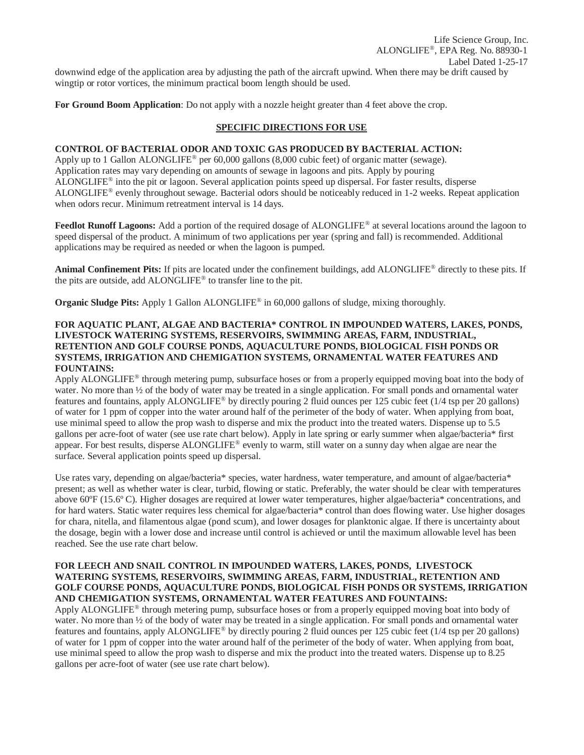Life Science Group, Inc. ALONGLIFE®, EPA Reg. No. 88930-1 Label Dated 1-25-17 downwind edge of the application area by adjusting the path of the aircraft upwind. When there may be drift caused by wingtip or rotor vortices, the minimum practical boom length should be used.

**For Ground Boom Application**: Do not apply with a nozzle height greater than 4 feet above the crop.

# **SPECIFIC DIRECTIONS FOR USE**

# **CONTROL OF BACTERIAL ODOR AND TOXIC GAS PRODUCED BY BACTERIAL ACTION:**

Apply up to 1 Gallon ALONGLIFE® per 60,000 gallons (8,000 cubic feet) of organic matter (sewage). Application rates may vary depending on amounts of sewage in lagoons and pits. Apply by pouring ALONGLIFE® into the pit or lagoon. Several application points speed up dispersal. For faster results, disperse ALONGLIFE® evenly throughout sewage. Bacterial odors should be noticeably reduced in 1-2 weeks. Repeat application when odors recur. Minimum retreatment interval is 14 days.

Feedlot Runoff Lagoons: Add a portion of the required dosage of ALONGLIFE<sup>®</sup> at several locations around the lagoon to speed dispersal of the product. A minimum of two applications per year (spring and fall) is recommended. Additional applications may be required as needed or when the lagoon is pumped.

**Animal Confinement Pits:** If pits are located under the confinement buildings, add ALONGLIFE® directly to these pits. If the pits are outside, add ALONGLIFE® to transfer line to the pit.

**Organic Sludge Pits:** Apply 1 Gallon ALONGLIFE<sup>®</sup> in 60,000 gallons of sludge, mixing thoroughly.

#### **FOR AQUATIC PLANT, ALGAE AND BACTERIA\* CONTROL IN IMPOUNDED WATERS, LAKES, PONDS, LIVESTOCK WATERING SYSTEMS, RESERVOIRS, SWIMMING AREAS, FARM, INDUSTRIAL, RETENTION AND GOLF COURSE PONDS, AQUACULTURE PONDS, BIOLOGICAL FISH PONDS OR SYSTEMS, IRRIGATION AND CHEMIGATION SYSTEMS, ORNAMENTAL WATER FEATURES AND FOUNTAINS:**

Apply ALONGLIFE® through metering pump, subsurface hoses or from a properly equipped moving boat into the body of water. No more than  $\frac{1}{2}$  of the body of water may be treated in a single application. For small ponds and ornamental water features and fountains, apply ALONGLIFE® by directly pouring 2 fluid ounces per 125 cubic feet (1/4 tsp per 20 gallons) of water for 1 ppm of copper into the water around half of the perimeter of the body of water. When applying from boat, use minimal speed to allow the prop wash to disperse and mix the product into the treated waters. Dispense up to 5.5 gallons per acre-foot of water (see use rate chart below). Apply in late spring or early summer when algae/bacteria\* first appear. For best results, disperse ALONGLIFE® evenly to warm, still water on a sunny day when algae are near the surface. Several application points speed up dispersal.

Use rates vary, depending on algae/bacteria\* species, water hardness, water temperature, and amount of algae/bacteria\* present; as well as whether water is clear, turbid, flowing or static. Preferably, the water should be clear with temperatures above 60ºF (15.6º C). Higher dosages are required at lower water temperatures, higher algae/bacteria\* concentrations, and for hard waters. Static water requires less chemical for algae/bacteria\* control than does flowing water. Use higher dosages for chara, nitella, and filamentous algae (pond scum), and lower dosages for planktonic algae. If there is uncertainty about the dosage, begin with a lower dose and increase until control is achieved or until the maximum allowable level has been reached. See the use rate chart below.

#### **FOR LEECH AND SNAIL CONTROL IN IMPOUNDED WATERS, LAKES, PONDS, LIVESTOCK WATERING SYSTEMS, RESERVOIRS, SWIMMING AREAS, FARM, INDUSTRIAL, RETENTION AND GOLF COURSE PONDS, AQUACULTURE PONDS, BIOLOGICAL FISH PONDS OR SYSTEMS, IRRIGATION AND CHEMIGATION SYSTEMS, ORNAMENTAL WATER FEATURES AND FOUNTAINS:**

Apply ALONGLIFE® through metering pump, subsurface hoses or from a properly equipped moving boat into body of water. No more than  $\frac{1}{2}$  of the body of water may be treated in a single application. For small ponds and ornamental water features and fountains, apply ALONGLIFE® by directly pouring 2 fluid ounces per 125 cubic feet (1/4 tsp per 20 gallons) of water for 1 ppm of copper into the water around half of the perimeter of the body of water. When applying from boat, use minimal speed to allow the prop wash to disperse and mix the product into the treated waters. Dispense up to 8.25 gallons per acre-foot of water (see use rate chart below).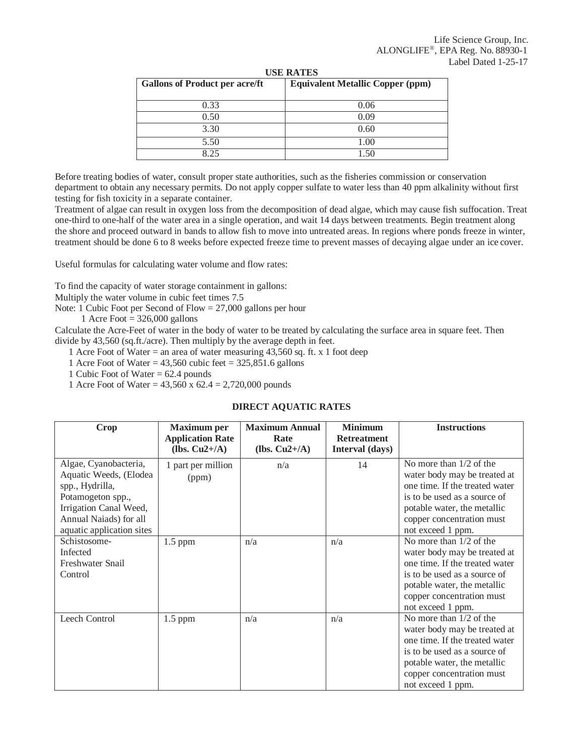| <b>Gallons of Product per acre/ft</b> | <b>Equivalent Metallic Copper (ppm)</b> |
|---------------------------------------|-----------------------------------------|
| 0.33                                  | 0.06                                    |
| 0.50                                  | 0.09                                    |
| 3.30                                  | 0.60                                    |
| 5.50                                  | 1.00                                    |
| 8.25                                  | 1.50                                    |

**USE RATES**

Before treating bodies of water, consult proper state authorities, such as the fisheries commission or conservation department to obtain any necessary permits. Do not apply copper sulfate to water less than 40 ppm alkalinity without first testing for fish toxicity in a separate container.

Treatment of algae can result in oxygen loss from the decomposition of dead algae, which may cause fish suffocation. Treat one-third to one-half of the water area in a single operation, and wait 14 days between treatments. Begin treatment along the shore and proceed outward in bands to allow fish to move into untreated areas. In regions where ponds freeze in winter, treatment should be done 6 to 8 weeks before expected freeze time to prevent masses of decaying algae under an ice cover.

Useful formulas for calculating water volume and flow rates:

To find the capacity of water storage containment in gallons:

Multiply the water volume in cubic feet times 7.5

Note: 1 Cubic Foot per Second of Flow = 27,000 gallons per hour

1 Acre Foot  $= 326,000$  gallons

Calculate the Acre-Feet of water in the body of water to be treated by calculating the surface area in square feet. Then divide by 43,560 (sq.ft./acre). Then multiply by the average depth in feet.

1 Acre Foot of Water = an area of water measuring 43,560 sq. ft. x 1 foot deep

1 Acre Foot of Water =  $43,560$  cubic feet =  $325,851.6$  gallons

1 Cubic Foot of Water = 62.4 pounds

1 Acre Foot of Water =  $43,560 \times 62.4 = 2,720,000$  pounds

# **DIRECT AQUATIC RATES**

| Crop                                                                                                                                                                     | <b>Maximum</b> per<br><b>Application Rate</b><br>(lbs. $Cu2+/A$ ) | <b>Maximum Annual</b><br>Rate<br>(lbs. $Cu2+/A$ ) | <b>Minimum</b><br><b>Retreatment</b><br>Interval (days) | <b>Instructions</b>                                                                                                                                                                                          |
|--------------------------------------------------------------------------------------------------------------------------------------------------------------------------|-------------------------------------------------------------------|---------------------------------------------------|---------------------------------------------------------|--------------------------------------------------------------------------------------------------------------------------------------------------------------------------------------------------------------|
| Algae, Cyanobacteria,<br>Aquatic Weeds, (Elodea<br>spp., Hydrilla,<br>Potamogeton spp.,<br>Irrigation Canal Weed,<br>Annual Naiads) for all<br>aquatic application sites | 1 part per million<br>(ppm)                                       | n/a                                               | 14                                                      | No more than $1/2$ of the<br>water body may be treated at<br>one time. If the treated water<br>is to be used as a source of<br>potable water, the metallic<br>copper concentration must<br>not exceed 1 ppm. |
| Schistosome-<br>Infected<br>Freshwater Snail<br>Control                                                                                                                  | $1.5$ ppm                                                         | n/a                                               | n/a                                                     | No more than $1/2$ of the<br>water body may be treated at<br>one time. If the treated water<br>is to be used as a source of<br>potable water, the metallic<br>copper concentration must<br>not exceed 1 ppm. |
| Leech Control                                                                                                                                                            | $1.5$ ppm                                                         | n/a                                               | n/a                                                     | No more than $1/2$ of the<br>water body may be treated at<br>one time. If the treated water<br>is to be used as a source of<br>potable water, the metallic<br>copper concentration must<br>not exceed 1 ppm. |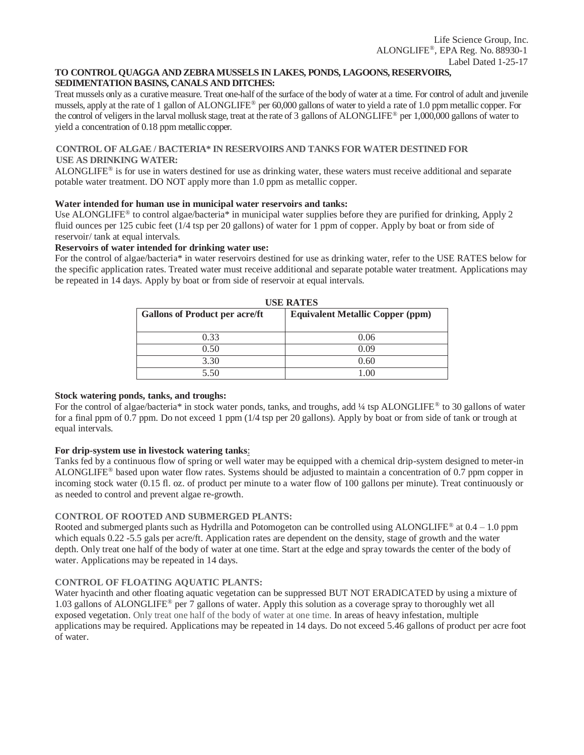#### **TO CONTROL QUAGGA AND ZEBRA MUSSELS IN LAKES, PONDS, LAGOONS, RESERVOIRS, SEDIMENTATION BASINS, CANALS AND DITCHES:**

Treat mussels only as a curative measure. Treat one-half of the surface of the body of water at a time. For control of adult and juvenile mussels, apply at the rate of 1 gallon of ALONGLIFE® per 60,000 gallons of water to yield a rate of 1.0 ppm metallic copper. For the control of veligers in the larval mollusk stage, treat at the rate of 3 gallons of ALONGLIFE® per 1,000,000 gallons of water to yield a concentration of 0.18 ppm metallic copper.

# **CONTROL OF ALGAE / BACTERIA\* IN RESERVOIRS AND TANKS FOR WATER DESTINED FOR USE AS DRINKING WATER:**

ALONGLIFE® is for use in waters destined for use as drinking water, these waters must receive additional and separate potable water treatment. DO NOT apply more than 1.0 ppm as metallic copper.

#### **Water intended for human use in municipal water reservoirs and tanks:**

Use ALONGLIFE® to control algae/bacteria\* in municipal water supplies before they are purified for drinking, Apply 2 fluid ounces per 125 cubic feet (1/4 tsp per 20 gallons) of water for 1 ppm of copper. Apply by boat or from side of reservoir/ tank at equal intervals.

#### **Reservoirs of water intended for drinking water use:**

For the control of algae/bacteria\* in water reservoirs destined for use as drinking water, refer to the USE RATES below for the specific application rates. Treated water must receive additional and separate potable water treatment. Applications may be repeated in 14 days. Apply by boat or from side of reservoir at equal intervals.

| <b>USE RATES</b>                        |  |  |  |  |  |  |
|-----------------------------------------|--|--|--|--|--|--|
| <b>Equivalent Metallic Copper (ppm)</b> |  |  |  |  |  |  |
|                                         |  |  |  |  |  |  |
| 0.06                                    |  |  |  |  |  |  |
| 0.09                                    |  |  |  |  |  |  |
| 0.60                                    |  |  |  |  |  |  |
| .00                                     |  |  |  |  |  |  |
|                                         |  |  |  |  |  |  |

# **Stock watering ponds, tanks, and troughs:**

For the control of algae/bacteria\* in stock water ponds, tanks, and troughs, add ¼ tsp ALONGLIFE® to 30 gallons of water for a final ppm of 0.7 ppm. Do not exceed 1 ppm (1/4 tsp per 20 gallons). Apply by boat or from side of tank or trough at equal intervals.

# **For drip-system use in livestock watering tanks**:

Tanks fed by a continuous flow of spring or well water may be equipped with a chemical drip-system designed to meter-in ALONGLIFE® based upon water flow rates. Systems should be adjusted to maintain a concentration of 0.7 ppm copper in incoming stock water (0.15 fl. oz. of product per minute to a water flow of 100 gallons per minute). Treat continuously or as needed to control and prevent algae re-growth.

# **CONTROL OF ROOTED AND SUBMERGED PLANTS:**

Rooted and submerged plants such as Hydrilla and Potomogeton can be controlled using ALONGLIFE<sup>®</sup> at  $0.4 - 1.0$  ppm which equals 0.22 -5.5 gals per acre/ft. Application rates are dependent on the density, stage of growth and the water depth. Only treat one half of the body of water at one time. Start at the edge and spray towards the center of the body of water. Applications may be repeated in 14 days.

# **CONTROL OF FLOATING AQUATIC PLANTS:**

Water hyacinth and other floating aquatic vegetation can be suppressed BUT NOT ERADICATED by using a mixture of 1.03 gallons of ALONGLIFE® per 7 gallons of water. Apply this solution as a coverage spray to thoroughly wet all exposed vegetation. Only treat one half of the body of water at one time. In areas of heavy infestation, multiple applications may be required. Applications may be repeated in 14 days. Do not exceed 5.46 gallons of product per acre foot of water.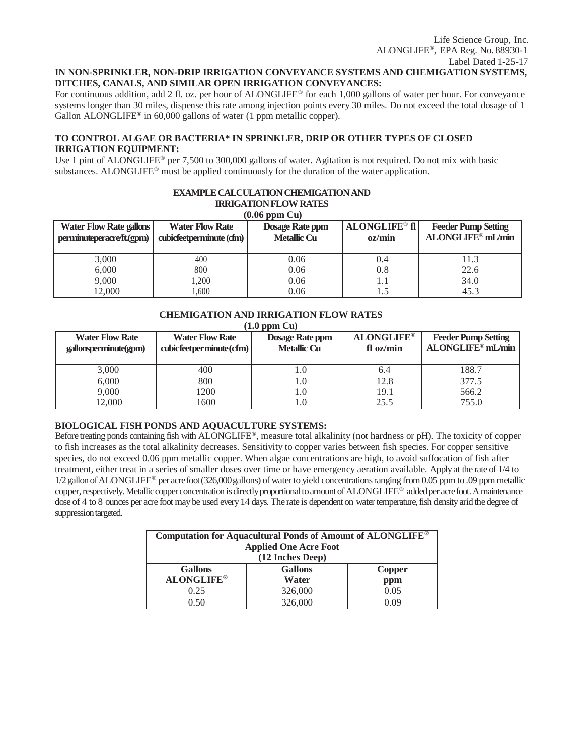# **IN NON-SPRINKLER, NON-DRIP IRRIGATION CONVEYANCE SYSTEMS AND CHEMIGATION SYSTEMS, DITCHES, CANALS, AND SIMILAR OPEN IRRIGATION CONVEYANCES:**

For continuous addition, add 2 fl. oz. per hour of ALONGLIFE® for each 1,000 gallons of water per hour. For conveyance systems longer than 30 miles, dispense this rate among injection points every 30 miles. Do not exceed the total dosage of 1 Gallon ALONGLIFE<sup>®</sup> in  $60,000$  gallons of water (1 ppm metallic copper).

# **TO CONTROL ALGAE OR BACTERIA\* IN SPRINKLER, DRIP OR OTHER TYPES OF CLOSED IRRIGATION EQUIPMENT:**

Use 1 pint of ALONGLIFE<sup>®</sup> per 7,500 to 300,000 gallons of water. Agitation is not required. Do not mix with basic substances. ALONGLIFE<sup>®</sup> must be applied continuously for the duration of the water application.

| <b>EXAMPLE CALCULATION CHEMIGATION AND</b><br><b>IRRIGATION FLOW RATES</b><br>$(0.06$ ppm $Cu)$ |                                                    |                                              |                                |                                                             |  |  |  |  |
|-------------------------------------------------------------------------------------------------|----------------------------------------------------|----------------------------------------------|--------------------------------|-------------------------------------------------------------|--|--|--|--|
| <b>Water Flow Rate gallons</b><br>perminuteperacre/ft.(gpm)                                     | <b>Water Flow Rate</b><br>cubicfeetperminute (cfm) | <b>Dosage Rate ppm</b><br><b>Metallic Cu</b> | <b>ALONGLIFE®</b> fl<br>oz/min | <b>Feeder Pump Setting</b><br>ALONGLIFE <sup>®</sup> mL/min |  |  |  |  |
| 3,000                                                                                           | 400                                                | 0.06                                         | 0.4                            | 11.3                                                        |  |  |  |  |
| 6,000                                                                                           | 800                                                | 0.06                                         | 0.8                            | 22.6                                                        |  |  |  |  |
| 9,000                                                                                           | 1.200                                              | 0.06                                         | 1.1                            | 34.0                                                        |  |  |  |  |
| 12.000                                                                                          | 1.600                                              | 0.06                                         |                                | 45.3                                                        |  |  |  |  |

# **CHEMIGATION AND IRRIGATION FLOW RATES**

**(1.0 ppm Cu)**

| <b>Water Flow Rate</b><br>gallonsperminute(gpm) | <b>Water Flow Rate</b><br>cubic feet permint (cfm) | <b>Dosage Rate ppm</b><br><b>Metallic Cu</b> | <b>ALONGLIFE®</b><br>$f$ l oz/min | <b>Feeder Pump Setting</b><br>ALONGLIFE <sup>®</sup> mL/min |
|-------------------------------------------------|----------------------------------------------------|----------------------------------------------|-----------------------------------|-------------------------------------------------------------|
| 3,000                                           | 400                                                | 0                                            | 6.4                               | 188.7                                                       |
| 6.000                                           | 800                                                | 1.0                                          | 12.8                              | 377.5                                                       |
| 9,000                                           | 1200                                               | 1.0                                          | 19.1                              | 566.2                                                       |
| 12,000                                          | 1600                                               | $\cdot 0$                                    | 25.5                              | 755.0                                                       |

# **BIOLOGICAL FISH PONDS AND AQUACULTURE SYSTEMS:**

Before treating ponds containing fish with ALONGLIFE®, measure total alkalinity (not hardness or pH). The toxicity of copper to fish increases as the total alkalinity decreases. Sensitivity to copper varies between fish species. For copper sensitive species, do not exceed 0.06 ppm metallic copper. When algae concentrations are high, to avoid suffocation of fish after treatment, either treat in a series of smaller doses over time or have emergency aeration available. Apply at the rate of 1/4 to 1/2gallonofALONGLIFE® per acrefoot(326,000gallons) of water to yield concentrationsranging from0.05 ppm to .09 ppmmetallic copper, respectively. Metallic copper concentration is directly proportional to amount of ALONGLIFE<sup>®</sup> added per acre foot. A maintenance dose of 4 to 8 ounces per acre foot may be used every 14 days. The rate is dependent on water temperature, fish density arid the degree of suppression targeted.

| Computation for Aquacultural Ponds of Amount of ALONGLIFE <sup>®</sup><br><b>Applied One Acre Foot</b><br>(12 Inches Deep) |                          |      |  |  |  |  |  |
|----------------------------------------------------------------------------------------------------------------------------|--------------------------|------|--|--|--|--|--|
| <b>Gallons</b>                                                                                                             | <b>Gallons</b><br>Copper |      |  |  |  |  |  |
| <b>ALONGLIFE®</b><br>Water<br>ppm                                                                                          |                          |      |  |  |  |  |  |
| 0.25                                                                                                                       | 326,000                  | 0.05 |  |  |  |  |  |
|                                                                                                                            | 326,000                  | ) በባ |  |  |  |  |  |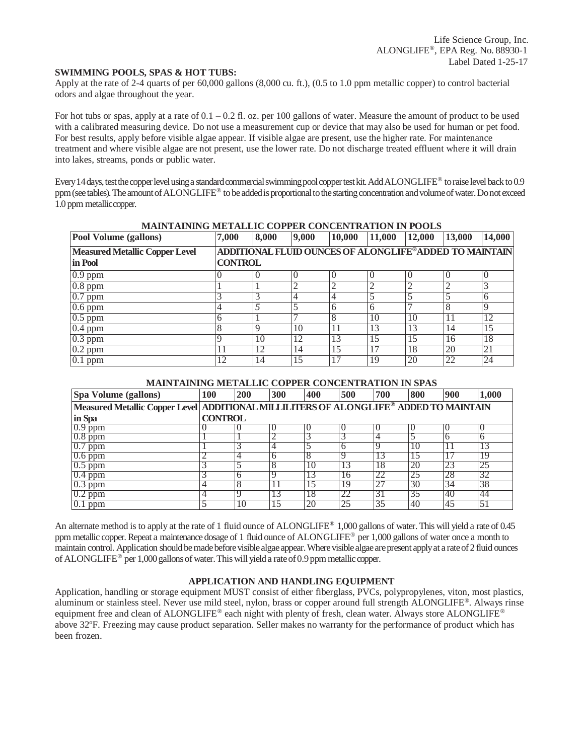#### **SWIMMING POOLS, SPAS & HOT TUBS:**

Apply at the rate of 2-4 quarts of per 60,000 gallons (8,000 cu. ft.), (0.5 to 1.0 ppm metallic copper) to control bacterial odors and algae throughout the year.

For hot tubs or spas, apply at a rate of  $0.1 - 0.2$  fl. oz. per 100 gallons of water. Measure the amount of product to be used with a calibrated measuring device. Do not use a measurement cup or device that may also be used for human or pet food. For best results, apply before visible algae appear. If visible algae are present, use the higher rate. For maintenance treatment and where visible algae are not present, use the lower rate. Do not discharge treated effluent where it will drain into lakes, streams, ponds or public water.

Every 14 days, test the copper level using a standard commercial swimming pool copper test kit. Add ALONGLIFE® to raise level back to 0.9 ppm (see tables). The amount of ALONGLIFE® to be added is proportional to the starting concentration and volume of water. Do not exceed 1.0 ppm metalliccopper.

| MAINTAINING MPTADDIC COLLER CONCENTRATION IN LOODS |                |                  |       |                                                        |        |        |        |        |
|----------------------------------------------------|----------------|------------------|-------|--------------------------------------------------------|--------|--------|--------|--------|
| Pool Volume (gallons)                              | 7,000          | 8,000            | 9,000 | 10,000                                                 | 11,000 | 12,000 | 13,000 | 14,000 |
| <b>Measured Metallic Copper Level</b>              |                |                  |       | ADDITIONAL FLUID OUNCES OF ALONGLIFE®ADDED TO MAINTAIN |        |        |        |        |
| in Pool                                            | <b>CONTROL</b> |                  |       |                                                        |        |        |        |        |
| $\overline{0.9}$ ppm                               |                | $\left( \right)$ |       | $\Omega$                                               |        |        |        |        |
| $\overline{0.8 \text{ ppm}}$                       |                |                  |       | $\overline{c}$                                         |        |        |        |        |
| $0.7$ ppm                                          |                |                  |       |                                                        |        |        |        |        |
| $0.6$ ppm                                          |                |                  |       | 6                                                      | h      |        | 8      | Q      |
| $\overline{0.5 \text{ ppm}}$                       | h              |                  |       | 8                                                      | 10     | 10     | 11     | 12     |
| $0.4$ ppm                                          | 8              | q                | 10    |                                                        | 13     | 13     | 14     | 15     |
| $\overline{0.3}$ ppm                               |                | 10               | 12    | 13                                                     | 15     | 15     | 16     | 18     |
| $\overline{0.2}$ ppm                               |                | 12               | 14    | 15                                                     | 17     | 18     | 20     | 21     |
| $[0.1$ ppm                                         | 12.            | 14               | 15    |                                                        | 19     | 20     | 22     | 24     |

# **MAINTAINING METALLIC COPPER CONCENTRATION IN POOLS**

#### **MAINTAINING METALLIC COPPER CONCENTRATION IN SPAS**

| Spa Volume (gallons)                                                                  | <b>100</b>     | 200 | 300          | 400 | 500      | 700 | 800 | 900          | 1,000 |
|---------------------------------------------------------------------------------------|----------------|-----|--------------|-----|----------|-----|-----|--------------|-------|
| Measured Metallic Copper Level ADDITIONAL MILLILITERS OF ALONGLIFE® ADDED TO MAINTAIN |                |     |              |     |          |     |     |              |       |
| in Spa                                                                                | <b>CONTROL</b> |     |              |     |          |     |     |              |       |
| $0.9$ ppm                                                                             |                |     |              |     |          |     |     |              |       |
| $0.8$ ppm                                                                             |                |     |              |     |          |     |     | <sub>(</sub> |       |
| $0.7$ ppm                                                                             |                |     |              |     |          |     | 10  |              | 13    |
| $0.6$ ppm                                                                             |                | 4   | <sub>(</sub> | 8   |          | 13  | 15  |              | 19    |
| $0.5$ ppm                                                                             |                |     |              | 10  |          | 18  | 20  | 23           | 25    |
| $0.4$ ppm                                                                             |                | h   |              |     | $\sigma$ | 22  | 25  | 28           | 32    |
| $0.3$ ppm                                                                             | 4              |     |              |     | ١y       |     | 30  | 34           | 38    |
| $0.2$ ppm                                                                             | 4              | Ч   |              | ΙX  |          | 31  | 35  | 40           | 44    |
| $\overline{0.1}$ ppm                                                                  |                | 10  |              | 20  | 25       | 35  | 40  | 45           | 51    |

An alternate method is to apply at the rate of 1 fluid ounce of ALONGLIFE® 1,000 gallons of water. This will yield a rate of 0.45 ppm metallic copper. Repeat a maintenance dosage of 1 fluid ounce of ALONGLIFE® per 1,000 gallons of water once a month to maintain control. Application should be made before visible algae appear. Where visible algae are present apply at a rate of 2 fluid ounces of ALONGLIFE<sup>®</sup> per 1,000 gallons of water. This will yield a rate of 0.9 ppm metallic copper.

# **APPLICATION AND HANDLING EQUIPMENT**

Application, handling or storage equipment MUST consist of either fiberglass, PVCs, polypropylenes, viton, most plastics, aluminum or stainless steel. Never use mild steel, nylon, brass or copper around full strength ALONGLIFE®. Always rinse equipment free and clean of ALONGLIFE® each night with plenty of fresh, clean water. Always store ALONGLIFE® above 32ºF. Freezing may cause product separation. Seller makes no warranty for the performance of product which has been frozen.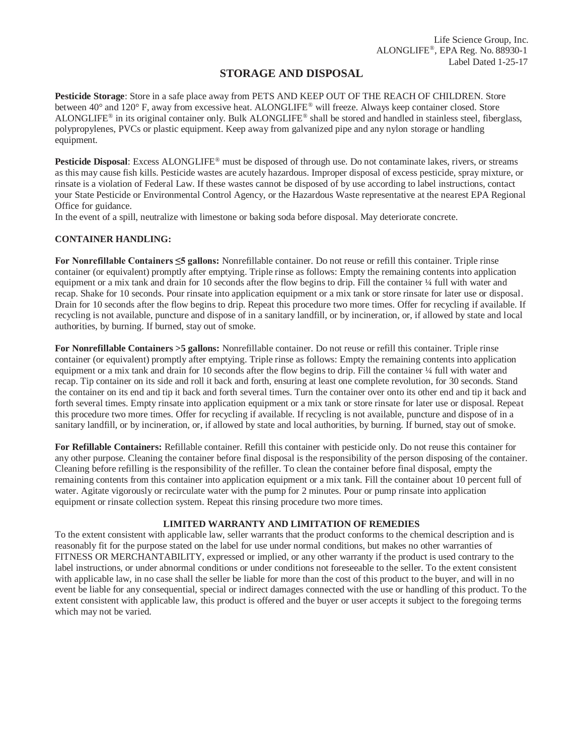# **STORAGE AND DISPOSAL**

**Pesticide Storage**: Store in a safe place away from PETS AND KEEP OUT OF THE REACH OF CHILDREN. Store between 40° and 120° F, away from excessive heat. ALONGLIFE® will freeze. Always keep container closed. Store ALONGLIFE® in its original container only. Bulk ALONGLIFE® shall be stored and handled in stainless steel, fiberglass, polypropylenes, PVCs or plastic equipment. Keep away from galvanized pipe and any nylon storage or handling equipment.

**Pesticide Disposal**: Excess ALONGLIFE® must be disposed of through use. Do not contaminate lakes, rivers, or streams as this may cause fish kills. Pesticide wastes are acutely hazardous. Improper disposal of excess pesticide, spray mixture, or rinsate is a violation of Federal Law. If these wastes cannot be disposed of by use according to label instructions, contact your State Pesticide or Environmental Control Agency, or the Hazardous Waste representative at the nearest EPA Regional Office for guidance.

In the event of a spill, neutralize with limestone or baking soda before disposal. May deteriorate concrete.

# **CONTAINER HANDLING:**

**For Nonrefillable Containers ≤5 gallons:** Nonrefillable container. Do not reuse or refill this container. Triple rinse container (or equivalent) promptly after emptying. Triple rinse as follows: Empty the remaining contents into application equipment or a mix tank and drain for 10 seconds after the flow begins to drip. Fill the container 1/4 full with water and recap. Shake for 10 seconds. Pour rinsate into application equipment or a mix tank or store rinsate for later use or disposal. Drain for 10 seconds after the flow begins to drip. Repeat this procedure two more times. Offer for recycling if available. If recycling is not available, puncture and dispose of in a sanitary landfill, or by incineration, or, if allowed by state and local authorities, by burning. If burned, stay out of smoke.

**For Nonrefillable Containers >5 gallons:** Nonrefillable container. Do not reuse or refill this container. Triple rinse container (or equivalent) promptly after emptying. Triple rinse as follows: Empty the remaining contents into application equipment or a mix tank and drain for 10 seconds after the flow begins to drip. Fill the container ¼ full with water and recap. Tip container on its side and roll it back and forth, ensuring at least one complete revolution, for 30 seconds. Stand the container on its end and tip it back and forth several times. Turn the container over onto its other end and tip it back and forth several times. Empty rinsate into application equipment or a mix tank or store rinsate for later use or disposal. Repeat this procedure two more times. Offer for recycling if available. If recycling is not available, puncture and dispose of in a sanitary landfill, or by incineration, or, if allowed by state and local authorities, by burning. If burned, stay out of smoke.

**For Refillable Containers:** Refillable container. Refill this container with pesticide only. Do not reuse this container for any other purpose. Cleaning the container before final disposal is the responsibility of the person disposing of the container. Cleaning before refilling is the responsibility of the refiller. To clean the container before final disposal, empty the remaining contents from this container into application equipment or a mix tank. Fill the container about 10 percent full of water. Agitate vigorously or recirculate water with the pump for 2 minutes. Pour or pump rinsate into application equipment or rinsate collection system. Repeat this rinsing procedure two more times.

# **LIMITED WARRANTY AND LIMITATION OF REMEDIES**

To the extent consistent with applicable law, seller warrants that the product conforms to the chemical description and is reasonably fit for the purpose stated on the label for use under normal conditions, but makes no other warranties of FITNESS OR MERCHANTABILITY, expressed or implied, or any other warranty if the product is used contrary to the label instructions, or under abnormal conditions or under conditions not foreseeable to the seller. To the extent consistent with applicable law, in no case shall the seller be liable for more than the cost of this product to the buyer, and will in no event be liable for any consequential, special or indirect damages connected with the use or handling of this product. To the extent consistent with applicable law, this product is offered and the buyer or user accepts it subject to the foregoing terms which may not be varied.